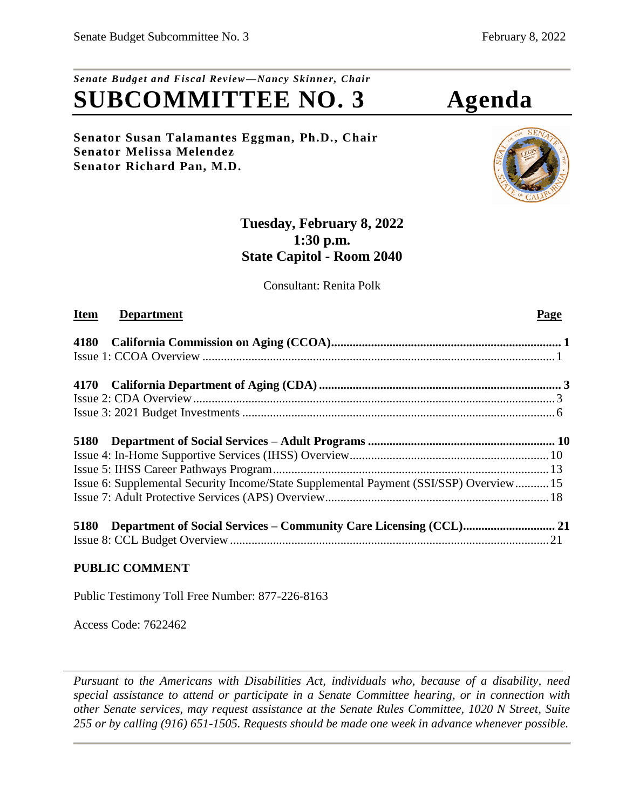# *Senate Budget and Fiscal Review—Nancy Skinner, Chair* **SUBCOMMITTEE NO. 3 Agenda**

**Senator Susan Talamantes Eggman, Ph.D., Chair Senator Melissa Melendez Senator Richard Pan, M.D.**



## **Tuesday, February 8, 2022 1:30 p.m. State Capitol - Room 2040**

Consultant: Renita Polk

## **Item Department** Page

| Issue 6: Supplemental Security Income/State Supplemental Payment (SSI/SSP) Overview 15 |  |
|----------------------------------------------------------------------------------------|--|
|                                                                                        |  |
| 5180                                                                                   |  |
|                                                                                        |  |
|                                                                                        |  |

## **PUBLIC COMMENT**

Public Testimony Toll Free Number: 877-226-8163

Access Code: 7622462

*Pursuant to the Americans with Disabilities Act, individuals who, because of a disability, need special assistance to attend or participate in a Senate Committee hearing, or in connection with other Senate services, may request assistance at the Senate Rules Committee, 1020 N Street, Suite 255 or by calling (916) 651-1505. Requests should be made one week in advance whenever possible.*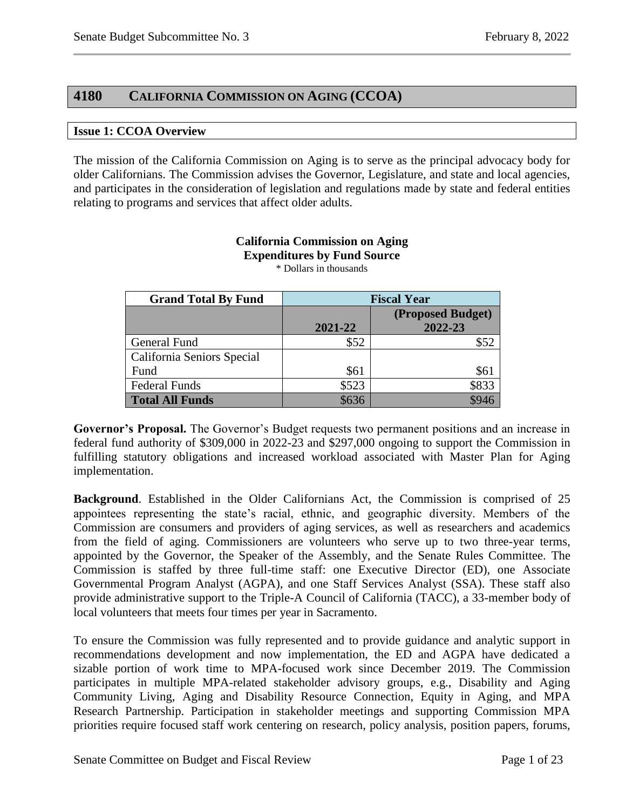## <span id="page-1-0"></span>**4180 CALIFORNIA COMMISSION ON AGING (CCOA)**

#### <span id="page-1-1"></span>**Issue 1: CCOA Overview**

The mission of the California Commission on Aging is to serve as the principal advocacy body for older Californians. The Commission advises the Governor, Legislature, and state and local agencies, and participates in the consideration of legislation and regulations made by state and federal entities relating to programs and services that affect older adults.

| <b>Grand Total By Fund</b> | <b>Fiscal Year</b> |                              |
|----------------------------|--------------------|------------------------------|
|                            | 2021-22            | (Proposed Budget)<br>2022-23 |
| General Fund               | \$52               | \$52                         |
| California Seniors Special |                    |                              |
| Fund                       | \$61               | \$61                         |
| <b>Federal Funds</b>       | \$523              | \$833                        |
| <b>Total All Funds</b>     | \$636              |                              |

#### **California Commission on Aging Expenditures by Fund Source** \* Dollars in thousands

**Governor's Proposal.** The Governor's Budget requests two permanent positions and an increase in federal fund authority of \$309,000 in 2022-23 and \$297,000 ongoing to support the Commission in fulfilling statutory obligations and increased workload associated with Master Plan for Aging implementation.

**Background**. Established in the Older Californians Act, the Commission is comprised of 25 appointees representing the state's racial, ethnic, and geographic diversity. Members of the Commission are consumers and providers of aging services, as well as researchers and academics from the field of aging. Commissioners are volunteers who serve up to two three-year terms, appointed by the Governor, the Speaker of the Assembly, and the Senate Rules Committee. The Commission is staffed by three full-time staff: one Executive Director (ED), one Associate Governmental Program Analyst (AGPA), and one Staff Services Analyst (SSA). These staff also provide administrative support to the Triple-A Council of California (TACC), a 33-member body of local volunteers that meets four times per year in Sacramento.

To ensure the Commission was fully represented and to provide guidance and analytic support in recommendations development and now implementation, the ED and AGPA have dedicated a sizable portion of work time to MPA-focused work since December 2019. The Commission participates in multiple MPA-related stakeholder advisory groups, e.g., Disability and Aging Community Living, Aging and Disability Resource Connection, Equity in Aging, and MPA Research Partnership. Participation in stakeholder meetings and supporting Commission MPA priorities require focused staff work centering on research, policy analysis, position papers, forums,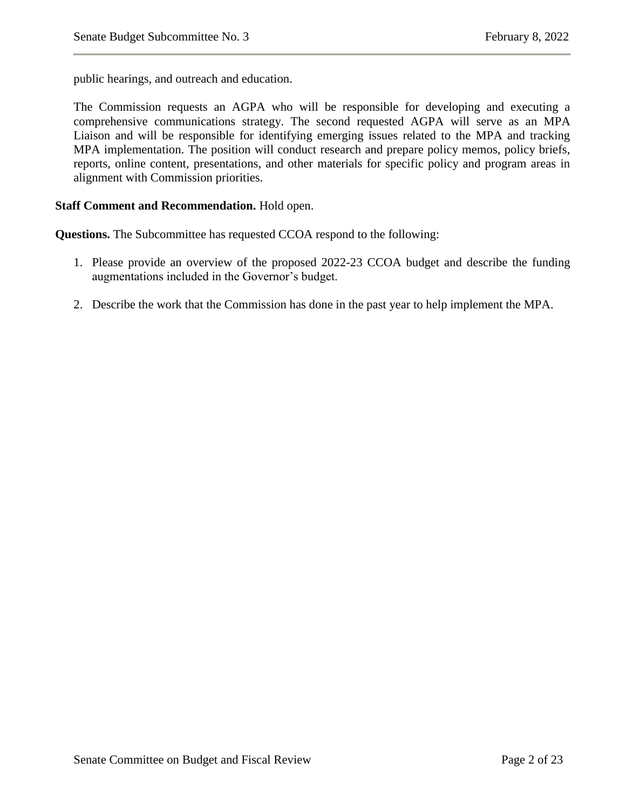public hearings, and outreach and education.

The Commission requests an AGPA who will be responsible for developing and executing a comprehensive communications strategy. The second requested AGPA will serve as an MPA Liaison and will be responsible for identifying emerging issues related to the MPA and tracking MPA implementation. The position will conduct research and prepare policy memos, policy briefs, reports, online content, presentations, and other materials for specific policy and program areas in alignment with Commission priorities.

#### **Staff Comment and Recommendation.** Hold open.

**Questions.** The Subcommittee has requested CCOA respond to the following:

- 1. Please provide an overview of the proposed 2022-23 CCOA budget and describe the funding augmentations included in the Governor's budget.
- 2. Describe the work that the Commission has done in the past year to help implement the MPA.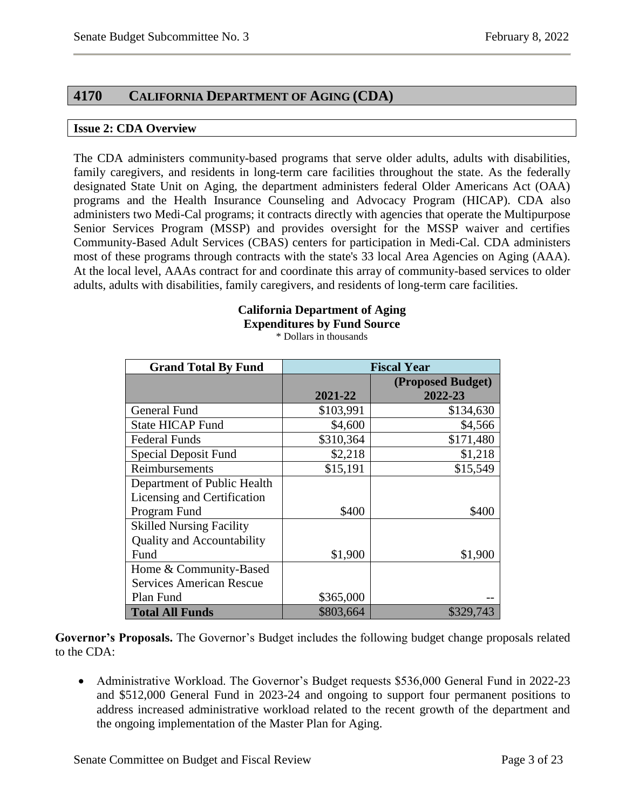## <span id="page-3-0"></span>**4170 CALIFORNIA DEPARTMENT OF AGING (CDA)**

#### <span id="page-3-1"></span>**Issue 2: CDA Overview**

The CDA administers community-based programs that serve older adults, adults with disabilities, family caregivers, and residents in long-term care facilities throughout the state. As the federally designated State Unit on Aging, the department administers federal Older Americans Act (OAA) programs and the Health Insurance Counseling and Advocacy Program (HICAP). CDA also administers two Medi-Cal programs; it contracts directly with agencies that operate the Multipurpose Senior Services Program (MSSP) and provides oversight for the MSSP waiver and certifies Community-Based Adult Services (CBAS) centers for participation in Medi-Cal. CDA administers most of these programs through contracts with the state's 33 local Area Agencies on Aging (AAA). At the local level, AAAs contract for and coordinate this array of community-based services to older adults, adults with disabilities, family caregivers, and residents of long-term care facilities.

## **California Department of Aging Expenditures by Fund Source**

\* Dollars in thousands

| <b>Grand Total By Fund</b>        | <b>Fiscal Year</b> |                   |
|-----------------------------------|--------------------|-------------------|
|                                   |                    | (Proposed Budget) |
|                                   | 2021-22            | 2022-23           |
| General Fund                      | \$103,991          | \$134,630         |
| <b>State HICAP Fund</b>           | \$4,600            | \$4,566           |
| <b>Federal Funds</b>              | \$310,364          | \$171,480         |
| Special Deposit Fund              | \$2,218            | \$1,218           |
| Reimbursements                    | \$15,191           | \$15,549          |
| Department of Public Health       |                    |                   |
| Licensing and Certification       |                    |                   |
| Program Fund                      | \$400              | \$400             |
| <b>Skilled Nursing Facility</b>   |                    |                   |
| <b>Quality and Accountability</b> |                    |                   |
| Fund                              | \$1,900            | \$1,900           |
| Home & Community-Based            |                    |                   |
| <b>Services American Rescue</b>   |                    |                   |
| Plan Fund                         | \$365,000          |                   |
| <b>Total All Funds</b>            | \$803,664          | \$329,743         |

**Governor's Proposals.** The Governor's Budget includes the following budget change proposals related to the CDA:

• Administrative Workload. The Governor's Budget requests \$536,000 General Fund in 2022-23 and \$512,000 General Fund in 2023-24 and ongoing to support four permanent positions to address increased administrative workload related to the recent growth of the department and the ongoing implementation of the Master Plan for Aging.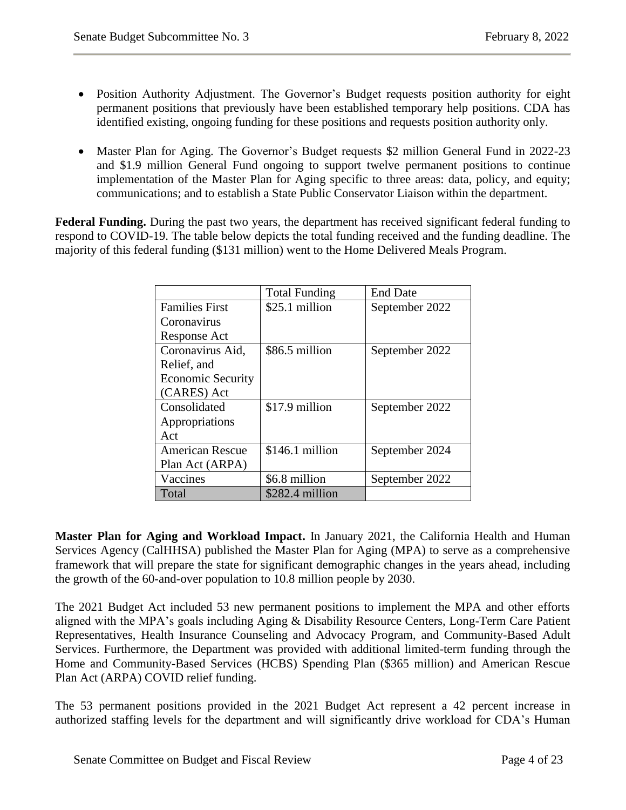- Position Authority Adjustment. The Governor's Budget requests position authority for eight permanent positions that previously have been established temporary help positions. CDA has identified existing, ongoing funding for these positions and requests position authority only.
- Master Plan for Aging. The Governor's Budget requests \$2 million General Fund in 2022-23 and \$1.9 million General Fund ongoing to support twelve permanent positions to continue implementation of the Master Plan for Aging specific to three areas: data, policy, and equity; communications; and to establish a State Public Conservator Liaison within the department.

**Federal Funding.** During the past two years, the department has received significant federal funding to respond to COVID-19. The table below depicts the total funding received and the funding deadline. The majority of this federal funding (\$131 million) went to the Home Delivered Meals Program.

|                          | <b>Total Funding</b> | <b>End Date</b> |
|--------------------------|----------------------|-----------------|
| <b>Families First</b>    | \$25.1 million       | September 2022  |
| Coronavirus              |                      |                 |
| Response Act             |                      |                 |
| Coronavirus Aid,         | \$86.5 million       | September 2022  |
| Relief, and              |                      |                 |
| <b>Economic Security</b> |                      |                 |
| (CARES) Act              |                      |                 |
| Consolidated             | \$17.9 million       | September 2022  |
| Appropriations           |                      |                 |
| Act                      |                      |                 |
| <b>American Rescue</b>   | $$146.1$ million     | September 2024  |
| Plan Act (ARPA)          |                      |                 |
| Vaccines                 | \$6.8 million        | September 2022  |
| Total                    | \$282.4 million      |                 |

**Master Plan for Aging and Workload Impact.** In January 2021, the California Health and Human Services Agency (CalHHSA) published the Master Plan for Aging (MPA) to serve as a comprehensive framework that will prepare the state for significant demographic changes in the years ahead, including the growth of the 60-and-over population to 10.8 million people by 2030.

The 2021 Budget Act included 53 new permanent positions to implement the MPA and other efforts aligned with the MPA's goals including Aging & Disability Resource Centers, Long-Term Care Patient Representatives, Health Insurance Counseling and Advocacy Program, and Community-Based Adult Services. Furthermore, the Department was provided with additional limited-term funding through the Home and Community-Based Services (HCBS) Spending Plan (\$365 million) and American Rescue Plan Act (ARPA) COVID relief funding.

The 53 permanent positions provided in the 2021 Budget Act represent a 42 percent increase in authorized staffing levels for the department and will significantly drive workload for CDA's Human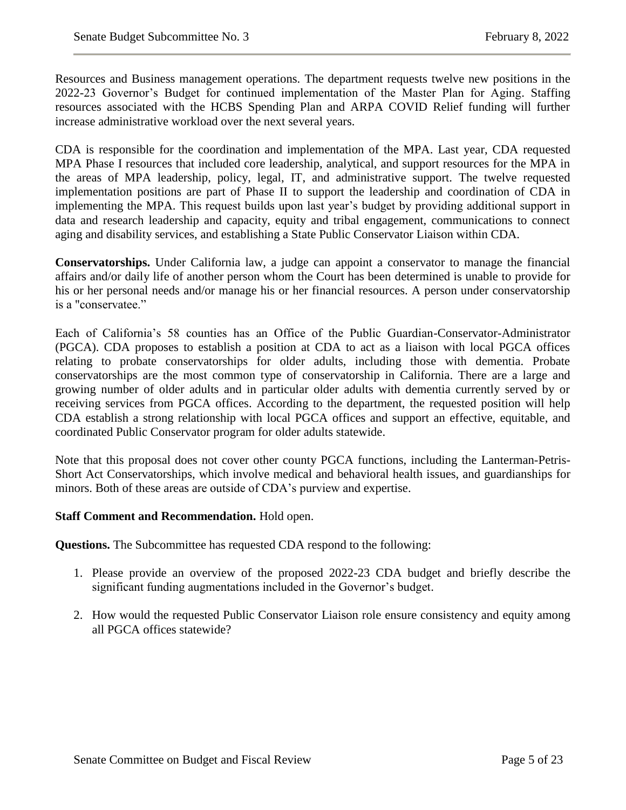Resources and Business management operations. The department requests twelve new positions in the 2022-23 Governor's Budget for continued implementation of the Master Plan for Aging. Staffing resources associated with the HCBS Spending Plan and ARPA COVID Relief funding will further increase administrative workload over the next several years.

CDA is responsible for the coordination and implementation of the MPA. Last year, CDA requested MPA Phase I resources that included core leadership, analytical, and support resources for the MPA in the areas of MPA leadership, policy, legal, IT, and administrative support. The twelve requested implementation positions are part of Phase II to support the leadership and coordination of CDA in implementing the MPA. This request builds upon last year's budget by providing additional support in data and research leadership and capacity, equity and tribal engagement, communications to connect aging and disability services, and establishing a State Public Conservator Liaison within CDA.

**Conservatorships.** Under California law, a judge can appoint a conservator to manage the financial affairs and/or daily life of another person whom the Court has been determined is unable to provide for his or her personal needs and/or manage his or her financial resources. A person under conservatorship is a "conservatee."

Each of California's 58 counties has an Office of the Public Guardian-Conservator-Administrator (PGCA). CDA proposes to establish a position at CDA to act as a liaison with local PGCA offices relating to probate conservatorships for older adults, including those with dementia. Probate conservatorships are the most common type of conservatorship in California. There are a large and growing number of older adults and in particular older adults with dementia currently served by or receiving services from PGCA offices. According to the department, the requested position will help CDA establish a strong relationship with local PGCA offices and support an effective, equitable, and coordinated Public Conservator program for older adults statewide.

Note that this proposal does not cover other county PGCA functions, including the Lanterman-Petris-Short Act Conservatorships, which involve medical and behavioral health issues, and guardianships for minors. Both of these areas are outside of CDA's purview and expertise.

#### **Staff Comment and Recommendation.** Hold open.

**Questions.** The Subcommittee has requested CDA respond to the following:

- 1. Please provide an overview of the proposed 2022-23 CDA budget and briefly describe the significant funding augmentations included in the Governor's budget.
- 2. How would the requested Public Conservator Liaison role ensure consistency and equity among all PGCA offices statewide?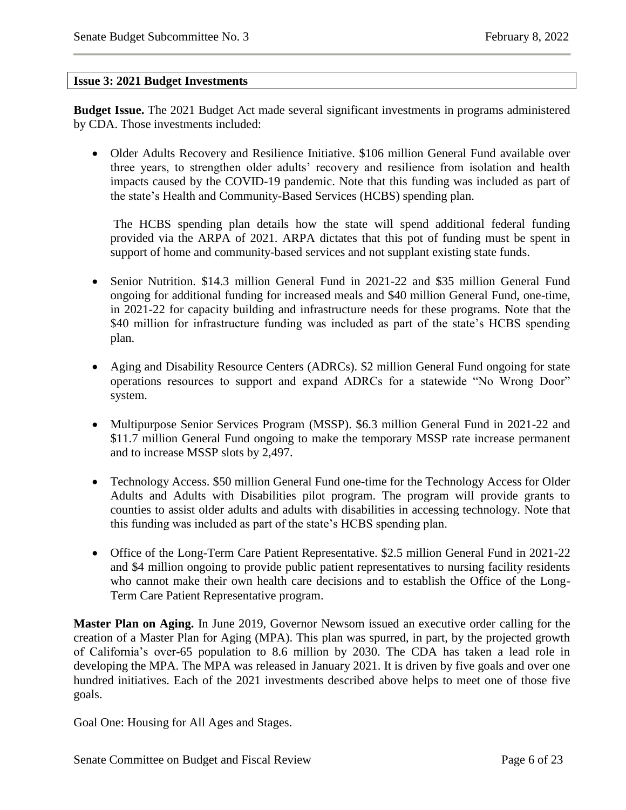#### <span id="page-6-0"></span>**Issue 3: 2021 Budget Investments**

**Budget Issue.** The 2021 Budget Act made several significant investments in programs administered by CDA. Those investments included:

 Older Adults Recovery and Resilience Initiative. \$106 million General Fund available over three years, to strengthen older adults' recovery and resilience from isolation and health impacts caused by the COVID-19 pandemic. Note that this funding was included as part of the state's Health and Community-Based Services (HCBS) spending plan.

The HCBS spending plan details how the state will spend additional federal funding provided via the ARPA of 2021. ARPA dictates that this pot of funding must be spent in support of home and community-based services and not supplant existing state funds.

- Senior Nutrition. \$14.3 million General Fund in 2021-22 and \$35 million General Fund ongoing for additional funding for increased meals and \$40 million General Fund, one-time, in 2021-22 for capacity building and infrastructure needs for these programs. Note that the \$40 million for infrastructure funding was included as part of the state's HCBS spending plan.
- Aging and Disability Resource Centers (ADRCs). \$2 million General Fund ongoing for state operations resources to support and expand ADRCs for a statewide "No Wrong Door" system.
- Multipurpose Senior Services Program (MSSP). \$6.3 million General Fund in 2021-22 and \$11.7 million General Fund ongoing to make the temporary MSSP rate increase permanent and to increase MSSP slots by 2,497.
- Technology Access. \$50 million General Fund one-time for the Technology Access for Older Adults and Adults with Disabilities pilot program. The program will provide grants to counties to assist older adults and adults with disabilities in accessing technology. Note that this funding was included as part of the state's HCBS spending plan.
- Office of the Long-Term Care Patient Representative. \$2.5 million General Fund in 2021-22 and \$4 million ongoing to provide public patient representatives to nursing facility residents who cannot make their own health care decisions and to establish the Office of the Long-Term Care Patient Representative program.

**Master Plan on Aging.** In June 2019, Governor Newsom issued an executive order calling for the creation of a Master Plan for Aging (MPA). This plan was spurred, in part, by the projected growth of California's over-65 population to 8.6 million by 2030. The CDA has taken a lead role in developing the MPA. The MPA was released in January 2021. It is driven by five goals and over one hundred initiatives. Each of the 2021 investments described above helps to meet one of those five goals.

Goal One: Housing for All Ages and Stages.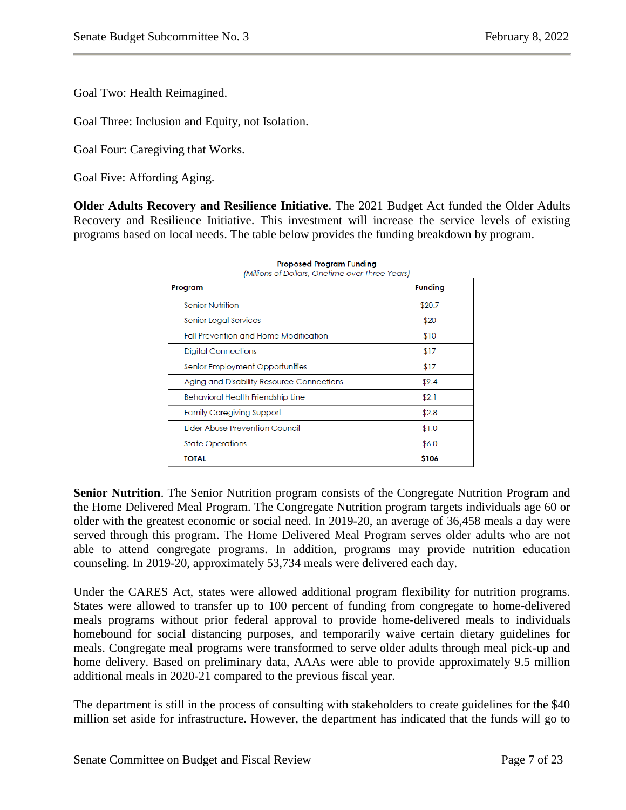Goal Two: Health Reimagined.

Goal Three: Inclusion and Equity, not Isolation.

Goal Four: Caregiving that Works.

Goal Five: Affording Aging.

**Older Adults Recovery and Resilience Initiative**. The 2021 Budget Act funded the Older Adults Recovery and Resilience Initiative. This investment will increase the service levels of existing programs based on local needs. The table below provides the funding breakdown by program.

| Program                                      | <b>Funding</b> |
|----------------------------------------------|----------------|
| <b>Senior Nutrition</b>                      | \$20.7         |
| Senior Legal Services                        | \$20           |
| <b>Fall Prevention and Home Modification</b> | \$10           |
| Digital Connections                          | \$17           |
| Senior Employment Opportunities              | \$17           |
| Aging and Disability Resource Connections    | \$9.4          |
| Behavioral Health Friendship Line            | \$2.1          |
| <b>Family Caregiving Support</b>             | \$2.8          |
| <b>Elder Abuse Prevention Council</b>        | \$1.0          |
| <b>State Operations</b>                      | \$6.0          |
| <b>TOTAL</b>                                 | \$106          |

|                                      | <b>Proposed Program Funding</b> |  |
|--------------------------------------|---------------------------------|--|
| pe of Dollare, Opotimo ovor Throp Yo |                                 |  |

**Senior Nutrition**. The Senior Nutrition program consists of the Congregate Nutrition Program and the Home Delivered Meal Program. The Congregate Nutrition program targets individuals age 60 or older with the greatest economic or social need. In 2019-20, an average of 36,458 meals a day were served through this program. The Home Delivered Meal Program serves older adults who are not able to attend congregate programs. In addition, programs may provide nutrition education counseling. In 2019-20, approximately 53,734 meals were delivered each day.

Under the CARES Act, states were allowed additional program flexibility for nutrition programs. States were allowed to transfer up to 100 percent of funding from congregate to home-delivered meals programs without prior federal approval to provide home-delivered meals to individuals homebound for social distancing purposes, and temporarily waive certain dietary guidelines for meals. Congregate meal programs were transformed to serve older adults through meal pick-up and home delivery. Based on preliminary data, AAAs were able to provide approximately 9.5 million additional meals in 2020-21 compared to the previous fiscal year.

The department is still in the process of consulting with stakeholders to create guidelines for the \$40 million set aside for infrastructure. However, the department has indicated that the funds will go to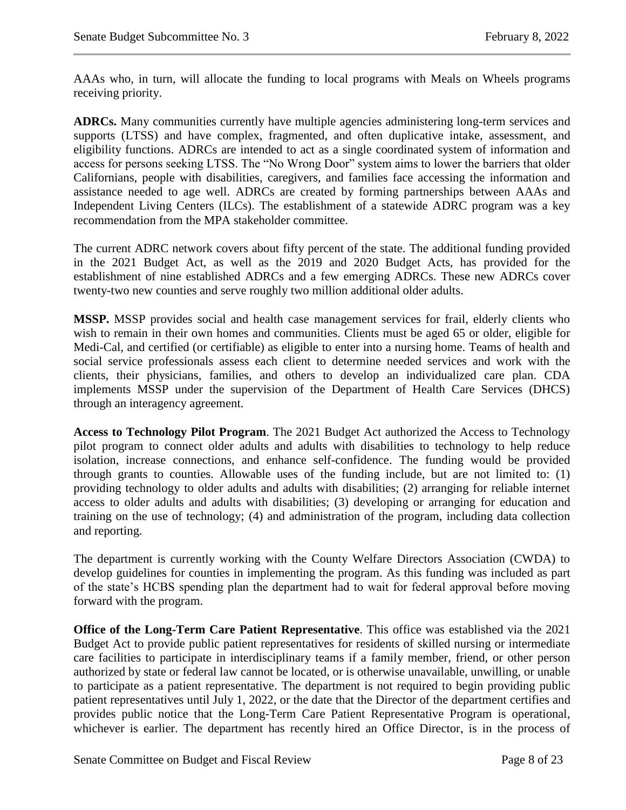AAAs who, in turn, will allocate the funding to local programs with Meals on Wheels programs receiving priority.

**ADRCs.** Many communities currently have multiple agencies administering long-term services and supports (LTSS) and have complex, fragmented, and often duplicative intake, assessment, and eligibility functions. ADRCs are intended to act as a single coordinated system of information and access for persons seeking LTSS. The "No Wrong Door" system aims to lower the barriers that older Californians, people with disabilities, caregivers, and families face accessing the information and assistance needed to age well. ADRCs are created by forming partnerships between AAAs and Independent Living Centers (ILCs). The establishment of a statewide ADRC program was a key recommendation from the MPA stakeholder committee.

The current ADRC network covers about fifty percent of the state. The additional funding provided in the 2021 Budget Act, as well as the 2019 and 2020 Budget Acts, has provided for the establishment of nine established ADRCs and a few emerging ADRCs. These new ADRCs cover twenty-two new counties and serve roughly two million additional older adults.

**MSSP.** MSSP provides social and health case management services for frail, elderly clients who wish to remain in their own homes and communities. Clients must be aged 65 or older, eligible for Medi-Cal, and certified (or certifiable) as eligible to enter into a nursing home. Teams of health and social service professionals assess each client to determine needed services and work with the clients, their physicians, families, and others to develop an individualized care plan. CDA implements MSSP under the supervision of the Department of Health Care Services (DHCS) through an interagency agreement.

**Access to Technology Pilot Program**. The 2021 Budget Act authorized the Access to Technology pilot program to connect older adults and adults with disabilities to technology to help reduce isolation, increase connections, and enhance self-confidence. The funding would be provided through grants to counties. Allowable uses of the funding include, but are not limited to: (1) providing technology to older adults and adults with disabilities; (2) arranging for reliable internet access to older adults and adults with disabilities; (3) developing or arranging for education and training on the use of technology; (4) and administration of the program, including data collection and reporting.

The department is currently working with the County Welfare Directors Association (CWDA) to develop guidelines for counties in implementing the program. As this funding was included as part of the state's HCBS spending plan the department had to wait for federal approval before moving forward with the program.

**Office of the Long-Term Care Patient Representative**. This office was established via the 2021 Budget Act to provide public patient representatives for residents of skilled nursing or intermediate care facilities to participate in interdisciplinary teams if a family member, friend, or other person authorized by state or federal law cannot be located, or is otherwise unavailable, unwilling, or unable to participate as a patient representative. The department is not required to begin providing public patient representatives until July 1, 2022, or the date that the Director of the department certifies and provides public notice that the Long-Term Care Patient Representative Program is operational, whichever is earlier. The department has recently hired an Office Director, is in the process of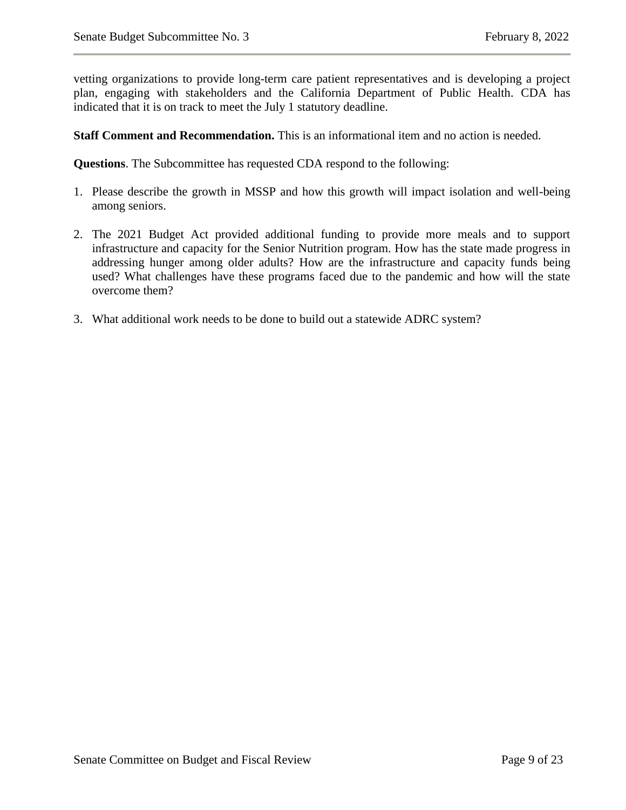vetting organizations to provide long-term care patient representatives and is developing a project plan, engaging with stakeholders and the California Department of Public Health. CDA has indicated that it is on track to meet the July 1 statutory deadline.

**Staff Comment and Recommendation.** This is an informational item and no action is needed.

**Questions**. The Subcommittee has requested CDA respond to the following:

- 1. Please describe the growth in MSSP and how this growth will impact isolation and well-being among seniors.
- 2. The 2021 Budget Act provided additional funding to provide more meals and to support infrastructure and capacity for the Senior Nutrition program. How has the state made progress in addressing hunger among older adults? How are the infrastructure and capacity funds being used? What challenges have these programs faced due to the pandemic and how will the state overcome them?
- 3. What additional work needs to be done to build out a statewide ADRC system?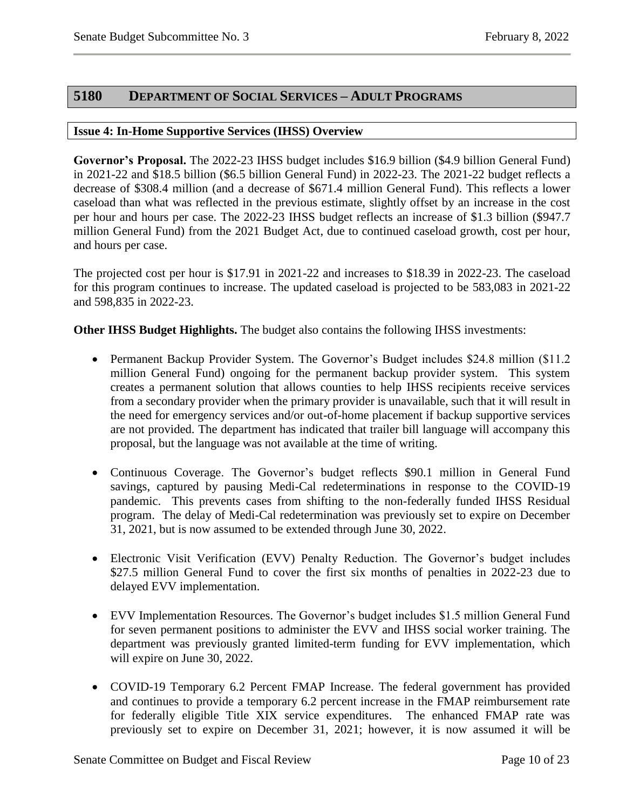### <span id="page-10-0"></span>**5180 DEPARTMENT OF SOCIAL SERVICES – ADULT PROGRAMS**

#### <span id="page-10-1"></span>**Issue 4: In-Home Supportive Services (IHSS) Overview**

**Governor's Proposal.** The 2022-23 IHSS budget includes \$16.9 billion (\$4.9 billion General Fund) in 2021-22 and \$18.5 billion (\$6.5 billion General Fund) in 2022-23. The 2021-22 budget reflects a decrease of \$308.4 million (and a decrease of \$671.4 million General Fund). This reflects a lower caseload than what was reflected in the previous estimate, slightly offset by an increase in the cost per hour and hours per case. The 2022-23 IHSS budget reflects an increase of \$1.3 billion (\$947.7 million General Fund) from the 2021 Budget Act, due to continued caseload growth, cost per hour, and hours per case.

The projected cost per hour is \$17.91 in 2021-22 and increases to \$18.39 in 2022-23. The caseload for this program continues to increase. The updated caseload is projected to be 583,083 in 2021-22 and 598,835 in 2022-23.

**Other IHSS Budget Highlights.** The budget also contains the following IHSS investments:

- Permanent Backup Provider System. The Governor's Budget includes \$24.8 million (\$11.2) million General Fund) ongoing for the permanent backup provider system. This system creates a permanent solution that allows counties to help IHSS recipients receive services from a secondary provider when the primary provider is unavailable, such that it will result in the need for emergency services and/or out-of-home placement if backup supportive services are not provided. The department has indicated that trailer bill language will accompany this proposal, but the language was not available at the time of writing.
- Continuous Coverage. The Governor's budget reflects \$90.1 million in General Fund savings, captured by pausing Medi-Cal redeterminations in response to the COVID-19 pandemic. This prevents cases from shifting to the non-federally funded IHSS Residual program. The delay of Medi-Cal redetermination was previously set to expire on December 31, 2021, but is now assumed to be extended through June 30, 2022.
- Electronic Visit Verification (EVV) Penalty Reduction. The Governor's budget includes \$27.5 million General Fund to cover the first six months of penalties in 2022-23 due to delayed EVV implementation.
- EVV Implementation Resources. The Governor's budget includes \$1.5 million General Fund for seven permanent positions to administer the EVV and IHSS social worker training. The department was previously granted limited-term funding for EVV implementation, which will expire on June 30, 2022.
- COVID-19 Temporary 6.2 Percent FMAP Increase. The federal government has provided and continues to provide a temporary 6.2 percent increase in the FMAP reimbursement rate for federally eligible Title XIX service expenditures. The enhanced FMAP rate was previously set to expire on December 31, 2021; however, it is now assumed it will be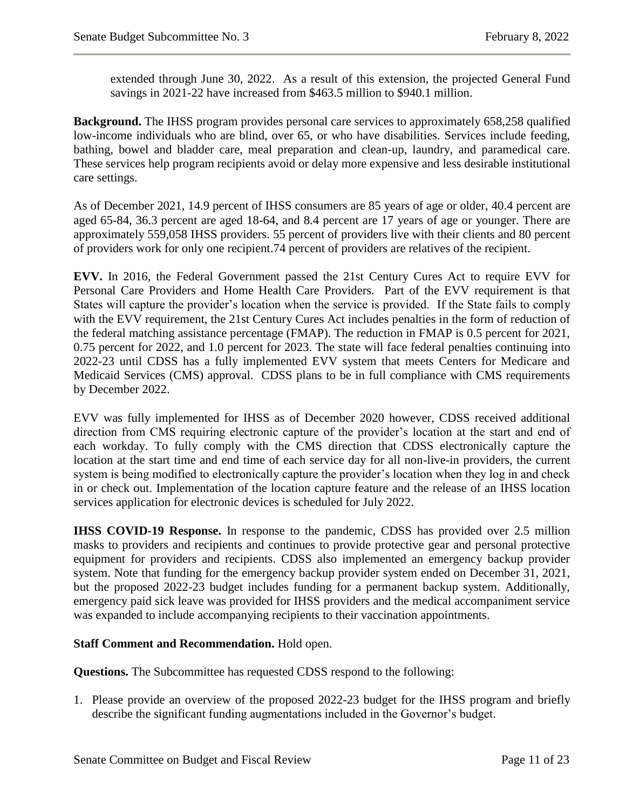extended through June 30, 2022. As a result of this extension, the projected General Fund savings in 2021-22 have increased from \$463.5 million to \$940.1 million.

**Background.** The IHSS program provides personal care services to approximately 658,258 qualified low-income individuals who are blind, over 65, or who have disabilities. Services include feeding, bathing, bowel and bladder care, meal preparation and clean-up, laundry, and paramedical care. These services help program recipients avoid or delay more expensive and less desirable institutional care settings.

As of December 2021, 14.9 percent of IHSS consumers are 85 years of age or older, 40.4 percent are aged 65-84, 36.3 percent are aged 18-64, and 8.4 percent are 17 years of age or younger. There are approximately 559,058 IHSS providers. 55 percent of providers live with their clients and 80 percent of providers work for only one recipient.74 percent of providers are relatives of the recipient.

**EVV.** In 2016, the Federal Government passed the 21st Century Cures Act to require EVV for Personal Care Providers and Home Health Care Providers. Part of the EVV requirement is that States will capture the provider's location when the service is provided. If the State fails to comply with the EVV requirement, the 21st Century Cures Act includes penalties in the form of reduction of the federal matching assistance percentage (FMAP). The reduction in FMAP is 0.5 percent for 2021, 0.75 percent for 2022, and 1.0 percent for 2023. The state will face federal penalties continuing into 2022-23 until CDSS has a fully implemented EVV system that meets Centers for Medicare and Medicaid Services (CMS) approval. CDSS plans to be in full compliance with CMS requirements by December 2022.

EVV was fully implemented for IHSS as of December 2020 however, CDSS received additional direction from CMS requiring electronic capture of the provider's location at the start and end of each workday. To fully comply with the CMS direction that CDSS electronically capture the location at the start time and end time of each service day for all non-live-in providers, the current system is being modified to electronically capture the provider's location when they log in and check in or check out. Implementation of the location capture feature and the release of an IHSS location services application for electronic devices is scheduled for July 2022.

**IHSS COVID-19 Response.** In response to the pandemic, CDSS has provided over 2.5 million masks to providers and recipients and continues to provide protective gear and personal protective equipment for providers and recipients. CDSS also implemented an emergency backup provider system. Note that funding for the emergency backup provider system ended on December 31, 2021, but the proposed 2022-23 budget includes funding for a permanent backup system. Additionally, emergency paid sick leave was provided for IHSS providers and the medical accompaniment service was expanded to include accompanying recipients to their vaccination appointments.

#### **Staff Comment and Recommendation.** Hold open.

**Questions.** The Subcommittee has requested CDSS respond to the following:

1. Please provide an overview of the proposed 2022-23 budget for the IHSS program and briefly describe the significant funding augmentations included in the Governor's budget.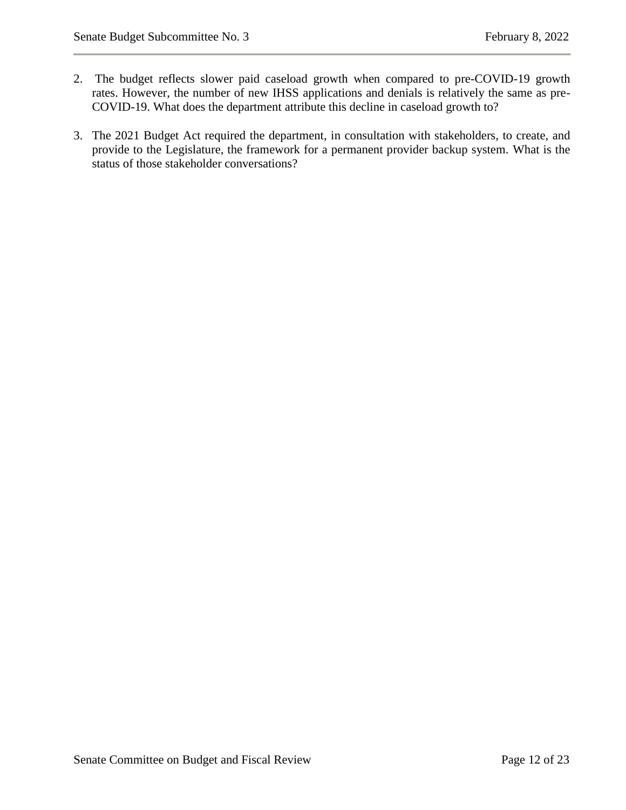- 2. The budget reflects slower paid caseload growth when compared to pre-COVID-19 growth rates. However, the number of new IHSS applications and denials is relatively the same as pre-COVID-19. What does the department attribute this decline in caseload growth to?
- 3. The 2021 Budget Act required the department, in consultation with stakeholders, to create, and provide to the Legislature, the framework for a permanent provider backup system. What is the status of those stakeholder conversations?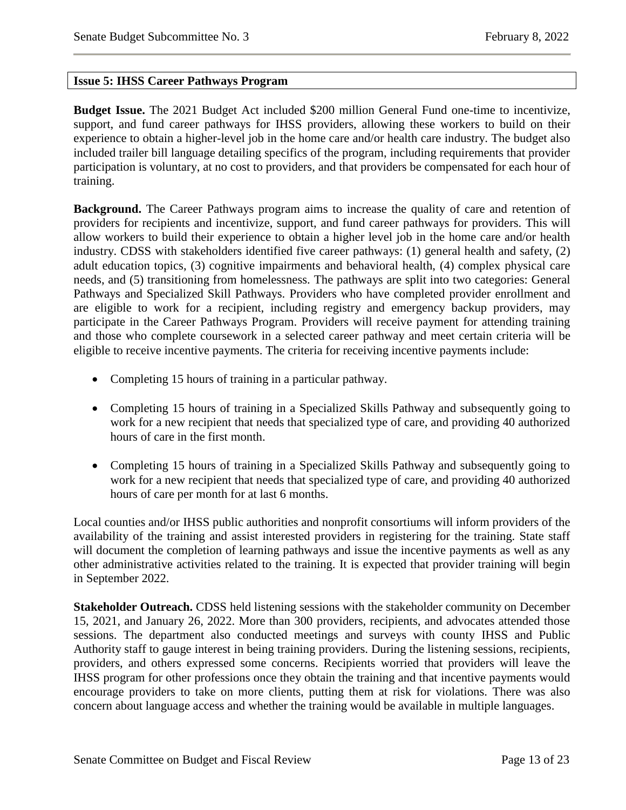#### <span id="page-13-0"></span>**Issue 5: IHSS Career Pathways Program**

**Budget Issue.** The 2021 Budget Act included \$200 million General Fund one-time to incentivize, support, and fund career pathways for IHSS providers, allowing these workers to build on their experience to obtain a higher-level job in the home care and/or health care industry. The budget also included trailer bill language detailing specifics of the program, including requirements that provider participation is voluntary, at no cost to providers, and that providers be compensated for each hour of training.

**Background.** The Career Pathways program aims to increase the quality of care and retention of providers for recipients and incentivize, support, and fund career pathways for providers. This will allow workers to build their experience to obtain a higher level job in the home care and/or health industry. CDSS with stakeholders identified five career pathways: (1) general health and safety, (2) adult education topics, (3) cognitive impairments and behavioral health, (4) complex physical care needs, and (5) transitioning from homelessness. The pathways are split into two categories: General Pathways and Specialized Skill Pathways. Providers who have completed provider enrollment and are eligible to work for a recipient, including registry and emergency backup providers, may participate in the Career Pathways Program. Providers will receive payment for attending training and those who complete coursework in a selected career pathway and meet certain criteria will be eligible to receive incentive payments. The criteria for receiving incentive payments include:

- Completing 15 hours of training in a particular pathway.
- Completing 15 hours of training in a Specialized Skills Pathway and subsequently going to work for a new recipient that needs that specialized type of care, and providing 40 authorized hours of care in the first month.
- Completing 15 hours of training in a Specialized Skills Pathway and subsequently going to work for a new recipient that needs that specialized type of care, and providing 40 authorized hours of care per month for at last 6 months.

Local counties and/or IHSS public authorities and nonprofit consortiums will inform providers of the availability of the training and assist interested providers in registering for the training. State staff will document the completion of learning pathways and issue the incentive payments as well as any other administrative activities related to the training. It is expected that provider training will begin in September 2022.

**Stakeholder Outreach.** CDSS held listening sessions with the stakeholder community on December 15, 2021, and January 26, 2022. More than 300 providers, recipients, and advocates attended those sessions. The department also conducted meetings and surveys with county IHSS and Public Authority staff to gauge interest in being training providers. During the listening sessions, recipients, providers, and others expressed some concerns. Recipients worried that providers will leave the IHSS program for other professions once they obtain the training and that incentive payments would encourage providers to take on more clients, putting them at risk for violations. There was also concern about language access and whether the training would be available in multiple languages.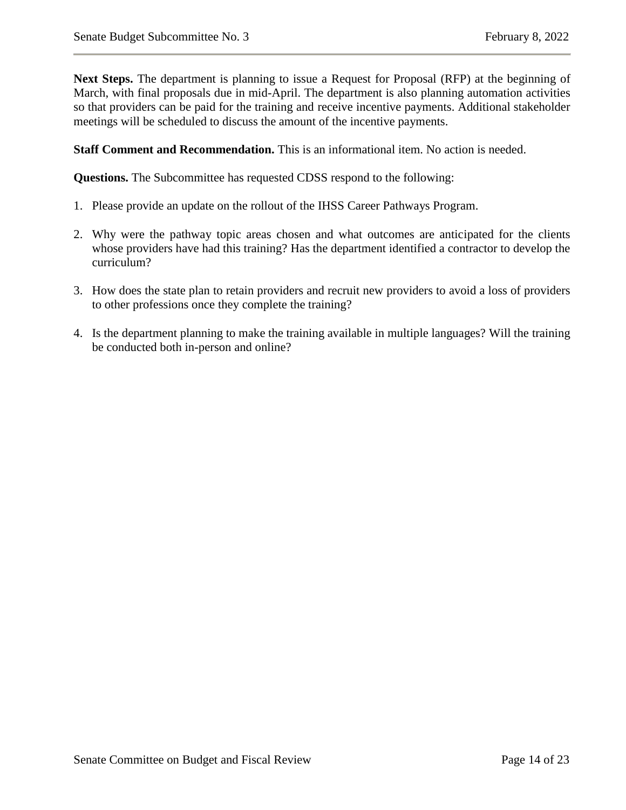**Next Steps.** The department is planning to issue a Request for Proposal (RFP) at the beginning of March, with final proposals due in mid-April. The department is also planning automation activities so that providers can be paid for the training and receive incentive payments. Additional stakeholder meetings will be scheduled to discuss the amount of the incentive payments.

**Staff Comment and Recommendation.** This is an informational item. No action is needed.

**Questions.** The Subcommittee has requested CDSS respond to the following:

- 1. Please provide an update on the rollout of the IHSS Career Pathways Program.
- 2. Why were the pathway topic areas chosen and what outcomes are anticipated for the clients whose providers have had this training? Has the department identified a contractor to develop the curriculum?
- 3. How does the state plan to retain providers and recruit new providers to avoid a loss of providers to other professions once they complete the training?
- 4. Is the department planning to make the training available in multiple languages? Will the training be conducted both in-person and online?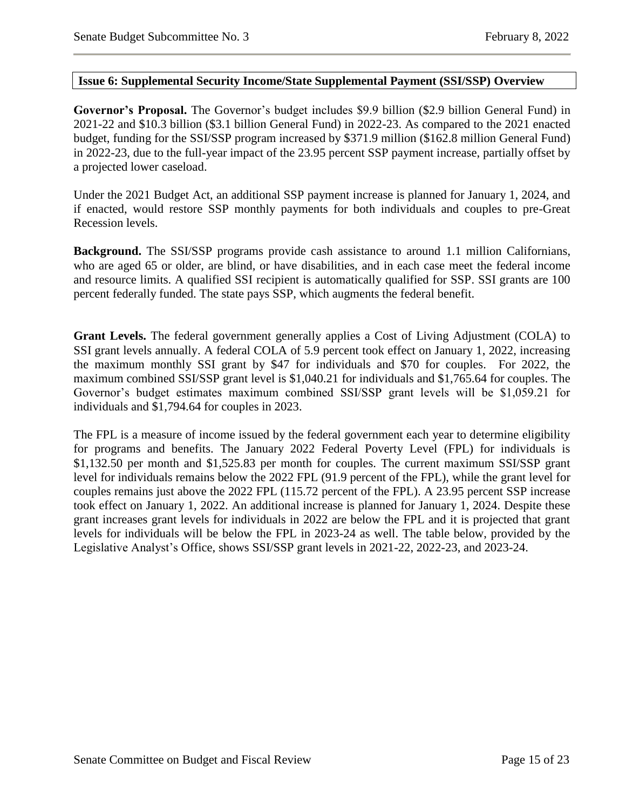#### <span id="page-15-0"></span>**Issue 6: Supplemental Security Income/State Supplemental Payment (SSI/SSP) Overview**

**Governor's Proposal.** The Governor's budget includes \$9.9 billion (\$2.9 billion General Fund) in 2021-22 and \$10.3 billion (\$3.1 billion General Fund) in 2022-23. As compared to the 2021 enacted budget, funding for the SSI/SSP program increased by \$371.9 million (\$162.8 million General Fund) in 2022-23, due to the full-year impact of the 23.95 percent SSP payment increase, partially offset by a projected lower caseload.

Under the 2021 Budget Act, an additional SSP payment increase is planned for January 1, 2024, and if enacted, would restore SSP monthly payments for both individuals and couples to pre-Great Recession levels.

**Background.** The SSI/SSP programs provide cash assistance to around 1.1 million Californians, who are aged 65 or older, are blind, or have disabilities, and in each case meet the federal income and resource limits. A qualified SSI recipient is automatically qualified for SSP. SSI grants are 100 percent federally funded. The state pays SSP, which augments the federal benefit.

**Grant Levels.** The federal government generally applies a Cost of Living Adjustment (COLA) to SSI grant levels annually. A federal COLA of 5.9 percent took effect on January 1, 2022, increasing the maximum monthly SSI grant by \$47 for individuals and \$70 for couples. For 2022, the maximum combined SSI/SSP grant level is \$1,040.21 for individuals and \$1,765.64 for couples. The Governor's budget estimates maximum combined SSI/SSP grant levels will be \$1,059.21 for individuals and \$1,794.64 for couples in 2023.

The FPL is a measure of income issued by the federal government each year to determine eligibility for programs and benefits. The January 2022 Federal Poverty Level (FPL) for individuals is \$1,132.50 per month and \$1,525.83 per month for couples. The current maximum SSI/SSP grant level for individuals remains below the 2022 FPL (91.9 percent of the FPL), while the grant level for couples remains just above the 2022 FPL (115.72 percent of the FPL). A 23.95 percent SSP increase took effect on January 1, 2022. An additional increase is planned for January 1, 2024. Despite these grant increases grant levels for individuals in 2022 are below the FPL and it is projected that grant levels for individuals will be below the FPL in 2023-24 as well. The table below, provided by the Legislative Analyst's Office, shows SSI/SSP grant levels in 2021-22, 2022-23, and 2023-24.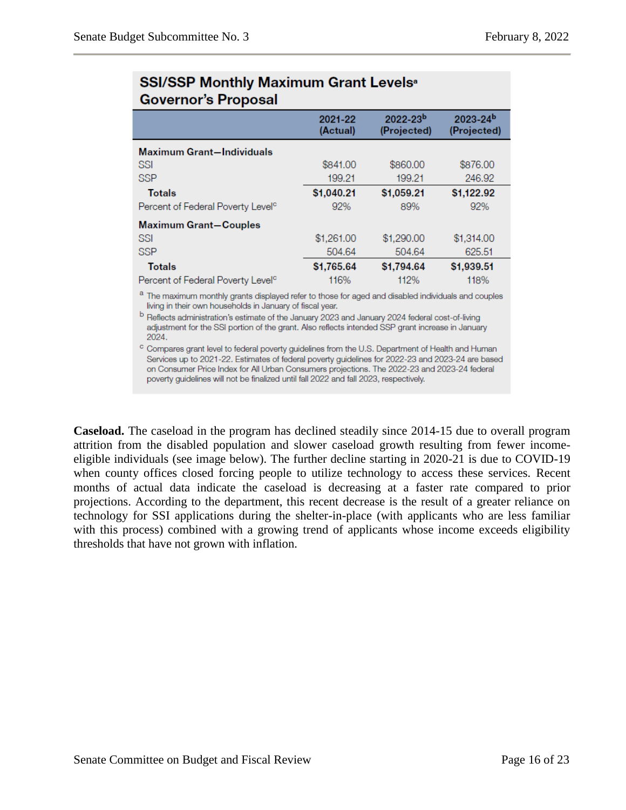|                                               | 2021-22<br>(Actual) | $2022 - 23b$<br>(Projected) | $2023 - 24b$<br>(Projected) |
|-----------------------------------------------|---------------------|-----------------------------|-----------------------------|
| <b>Maximum Grant-Individuals</b>              |                     |                             |                             |
| SSI                                           | \$841.00            | \$860.00                    | \$876.00                    |
| <b>SSP</b>                                    | 199.21              | 199.21                      | 246.92                      |
| <b>Totals</b>                                 | \$1,040.21          | \$1,059.21                  | \$1,122.92                  |
| Percent of Federal Poverty Level <sup>c</sup> | 92%                 | 89%                         | 92%                         |
| <b>Maximum Grant-Couples</b>                  |                     |                             |                             |
| SSI                                           | \$1,261.00          | \$1,290.00                  | \$1,314.00                  |
| <b>SSP</b>                                    | 504.64              | 504.64                      | 625.51                      |
| <b>Totals</b>                                 | \$1,765.64          | \$1,794.64                  | \$1,939.51                  |
| Percent of Federal Poverty Level <sup>c</sup> | 116%                | 112%                        | 118%                        |

## **SSI/SSP Monthly Maximum Grant Levels<sup>®</sup> Governor's Proposal**

a The maximum monthly grants displayed refer to those for aged and disabled individuals and couples living in their own households in January of fiscal year.

b Reflects administration's estimate of the January 2023 and January 2024 federal cost-of-living adjustment for the SSI portion of the grant. Also reflects intended SSP grant increase in January 2024.

c Compares grant level to federal poverty guidelines from the U.S. Department of Health and Human Services up to 2021-22. Estimates of federal poverty guidelines for 2022-23 and 2023-24 are based on Consumer Price Index for All Urban Consumers projections. The 2022-23 and 2023-24 federal poverty guidelines will not be finalized until fall 2022 and fall 2023, respectively.

**Caseload.** The caseload in the program has declined steadily since 2014-15 due to overall program attrition from the disabled population and slower caseload growth resulting from fewer incomeeligible individuals (see image below). The further decline starting in 2020-21 is due to COVID-19 when county offices closed forcing people to utilize technology to access these services. Recent months of actual data indicate the caseload is decreasing at a faster rate compared to prior projections. According to the department, this recent decrease is the result of a greater reliance on technology for SSI applications during the shelter-in-place (with applicants who are less familiar with this process) combined with a growing trend of applicants whose income exceeds eligibility thresholds that have not grown with inflation.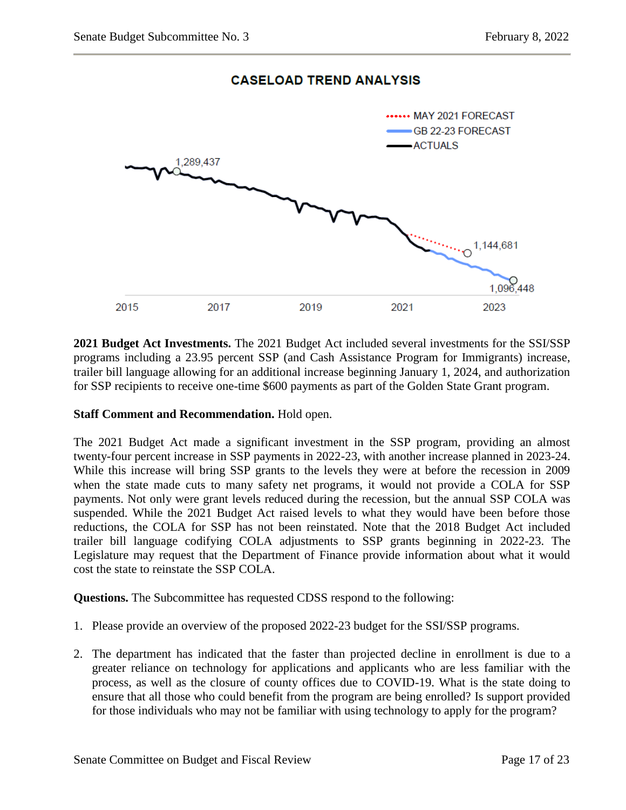## **CASELOAD TREND ANALYSIS**



**2021 Budget Act Investments.** The 2021 Budget Act included several investments for the SSI/SSP programs including a 23.95 percent SSP (and Cash Assistance Program for Immigrants) increase, trailer bill language allowing for an additional increase beginning January 1, 2024, and authorization for SSP recipients to receive one-time \$600 payments as part of the Golden State Grant program.

#### **Staff Comment and Recommendation.** Hold open.

The 2021 Budget Act made a significant investment in the SSP program, providing an almost twenty-four percent increase in SSP payments in 2022-23, with another increase planned in 2023-24. While this increase will bring SSP grants to the levels they were at before the recession in 2009 when the state made cuts to many safety net programs, it would not provide a COLA for SSP payments. Not only were grant levels reduced during the recession, but the annual SSP COLA was suspended. While the 2021 Budget Act raised levels to what they would have been before those reductions, the COLA for SSP has not been reinstated. Note that the 2018 Budget Act included trailer bill language codifying COLA adjustments to SSP grants beginning in 2022-23. The Legislature may request that the Department of Finance provide information about what it would cost the state to reinstate the SSP COLA.

**Questions.** The Subcommittee has requested CDSS respond to the following:

- 1. Please provide an overview of the proposed 2022-23 budget for the SSI/SSP programs.
- 2. The department has indicated that the faster than projected decline in enrollment is due to a greater reliance on technology for applications and applicants who are less familiar with the process, as well as the closure of county offices due to COVID-19. What is the state doing to ensure that all those who could benefit from the program are being enrolled? Is support provided for those individuals who may not be familiar with using technology to apply for the program?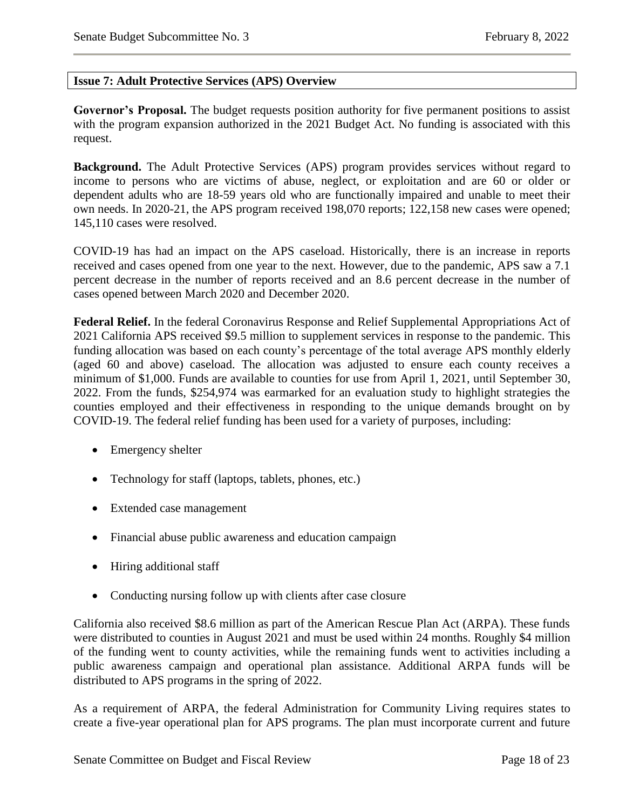#### <span id="page-18-0"></span>**Issue 7: Adult Protective Services (APS) Overview**

**Governor's Proposal.** The budget requests position authority for five permanent positions to assist with the program expansion authorized in the 2021 Budget Act. No funding is associated with this request.

**Background.** The Adult Protective Services (APS) program provides services without regard to income to persons who are victims of abuse, neglect, or exploitation and are 60 or older or dependent adults who are 18-59 years old who are functionally impaired and unable to meet their own needs. In 2020-21, the APS program received 198,070 reports; 122,158 new cases were opened; 145,110 cases were resolved.

COVID-19 has had an impact on the APS caseload. Historically, there is an increase in reports received and cases opened from one year to the next. However, due to the pandemic, APS saw a 7.1 percent decrease in the number of reports received and an 8.6 percent decrease in the number of cases opened between March 2020 and December 2020.

**Federal Relief.** In the federal Coronavirus Response and Relief Supplemental Appropriations Act of 2021 California APS received \$9.5 million to supplement services in response to the pandemic. This funding allocation was based on each county's percentage of the total average APS monthly elderly (aged 60 and above) caseload. The allocation was adjusted to ensure each county receives a minimum of \$1,000. Funds are available to counties for use from April 1, 2021, until September 30, 2022. From the funds, \$254,974 was earmarked for an evaluation study to highlight strategies the counties employed and their effectiveness in responding to the unique demands brought on by COVID-19. The federal relief funding has been used for a variety of purposes, including:

- Emergency shelter
- Technology for staff (laptops, tablets, phones, etc.)
- Extended case management
- Financial abuse public awareness and education campaign
- Hiring additional staff
- Conducting nursing follow up with clients after case closure

California also received \$8.6 million as part of the American Rescue Plan Act (ARPA). These funds were distributed to counties in August 2021 and must be used within 24 months. Roughly \$4 million of the funding went to county activities, while the remaining funds went to activities including a public awareness campaign and operational plan assistance. Additional ARPA funds will be distributed to APS programs in the spring of 2022.

As a requirement of ARPA, the federal Administration for Community Living requires states to create a five-year operational plan for APS programs. The plan must incorporate current and future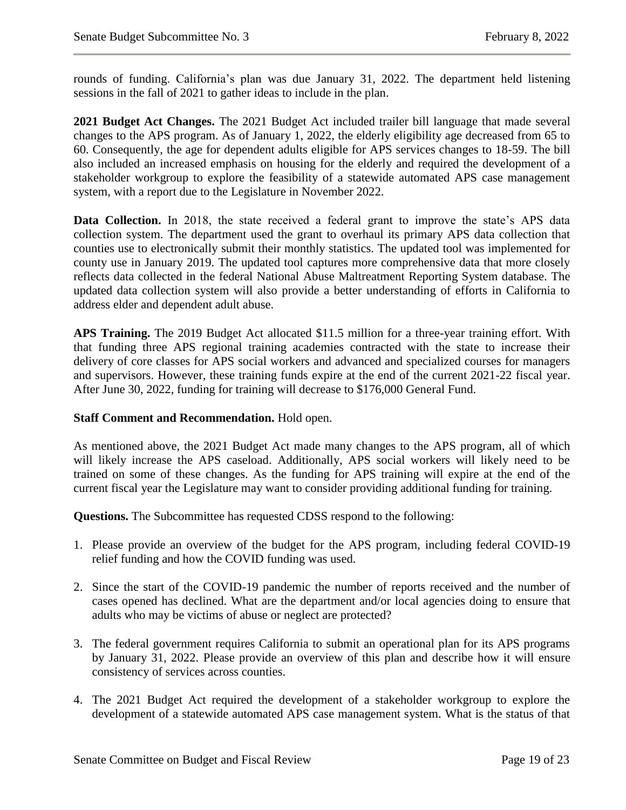rounds of funding. California's plan was due January 31, 2022. The department held listening sessions in the fall of 2021 to gather ideas to include in the plan.

**2021 Budget Act Changes.** The 2021 Budget Act included trailer bill language that made several changes to the APS program. As of January 1, 2022, the elderly eligibility age decreased from 65 to 60. Consequently, the age for dependent adults eligible for APS services changes to 18-59. The bill also included an increased emphasis on housing for the elderly and required the development of a stakeholder workgroup to explore the feasibility of a statewide automated APS case management system, with a report due to the Legislature in November 2022.

**Data Collection.** In 2018, the state received a federal grant to improve the state's APS data collection system. The department used the grant to overhaul its primary APS data collection that counties use to electronically submit their monthly statistics. The updated tool was implemented for county use in January 2019. The updated tool captures more comprehensive data that more closely reflects data collected in the federal National Abuse Maltreatment Reporting System database. The updated data collection system will also provide a better understanding of efforts in California to address elder and dependent adult abuse.

**APS Training.** The 2019 Budget Act allocated \$11.5 million for a three-year training effort. With that funding three APS regional training academies contracted with the state to increase their delivery of core classes for APS social workers and advanced and specialized courses for managers and supervisors. However, these training funds expire at the end of the current 2021-22 fiscal year. After June 30, 2022, funding for training will decrease to \$176,000 General Fund.

#### **Staff Comment and Recommendation.** Hold open.

As mentioned above, the 2021 Budget Act made many changes to the APS program, all of which will likely increase the APS caseload. Additionally, APS social workers will likely need to be trained on some of these changes. As the funding for APS training will expire at the end of the current fiscal year the Legislature may want to consider providing additional funding for training.

**Questions.** The Subcommittee has requested CDSS respond to the following:

- 1. Please provide an overview of the budget for the APS program, including federal COVID-19 relief funding and how the COVID funding was used.
- 2. Since the start of the COVID-19 pandemic the number of reports received and the number of cases opened has declined. What are the department and/or local agencies doing to ensure that adults who may be victims of abuse or neglect are protected?
- 3. The federal government requires California to submit an operational plan for its APS programs by January 31, 2022. Please provide an overview of this plan and describe how it will ensure consistency of services across counties.
- 4. The 2021 Budget Act required the development of a stakeholder workgroup to explore the development of a statewide automated APS case management system. What is the status of that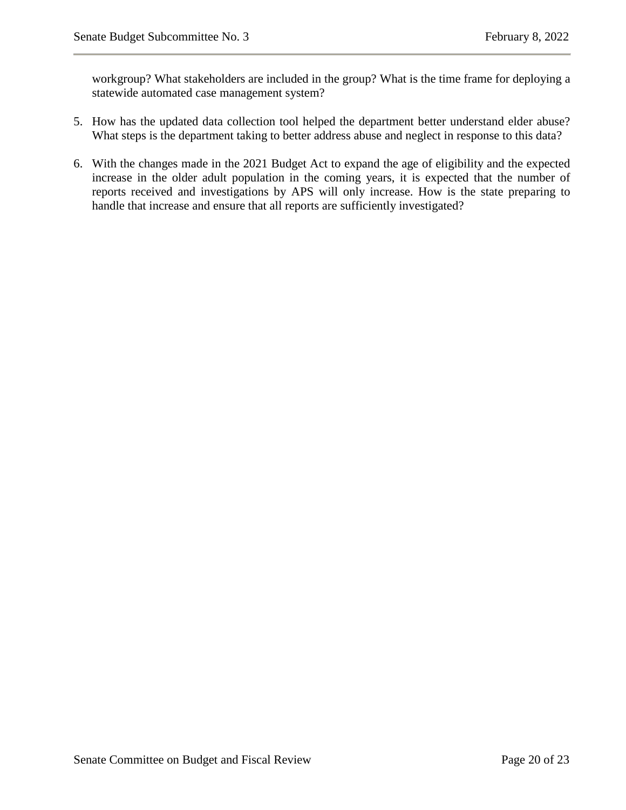workgroup? What stakeholders are included in the group? What is the time frame for deploying a statewide automated case management system?

- 5. How has the updated data collection tool helped the department better understand elder abuse? What steps is the department taking to better address abuse and neglect in response to this data?
- 6. With the changes made in the 2021 Budget Act to expand the age of eligibility and the expected increase in the older adult population in the coming years, it is expected that the number of reports received and investigations by APS will only increase. How is the state preparing to handle that increase and ensure that all reports are sufficiently investigated?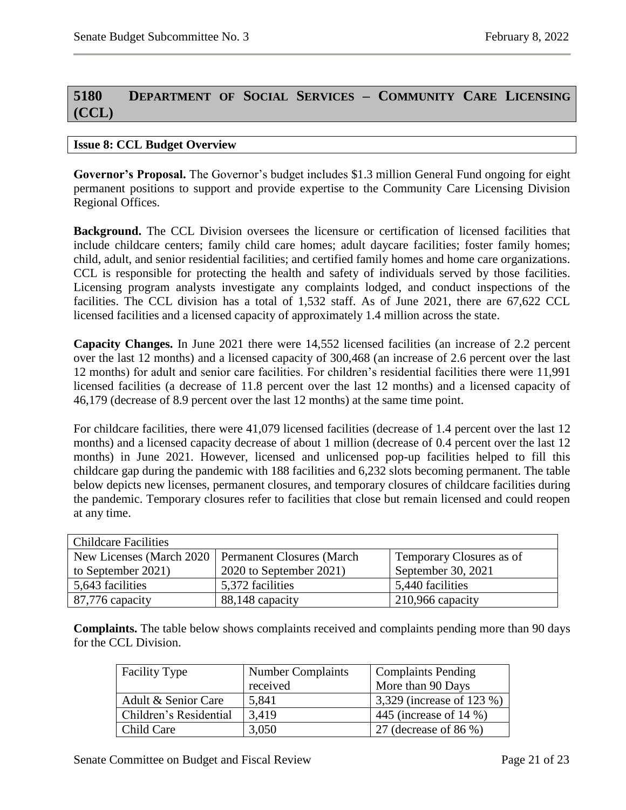## <span id="page-21-0"></span>**5180 DEPARTMENT OF SOCIAL SERVICES – COMMUNITY CARE LICENSING (CCL)**

#### <span id="page-21-1"></span>**Issue 8: CCL Budget Overview**

**Governor's Proposal.** The Governor's budget includes \$1.3 million General Fund ongoing for eight permanent positions to support and provide expertise to the Community Care Licensing Division Regional Offices.

**Background.** The CCL Division oversees the licensure or certification of licensed facilities that include childcare centers; family child care homes; adult daycare facilities; foster family homes; child, adult, and senior residential facilities; and certified family homes and home care organizations. CCL is responsible for protecting the health and safety of individuals served by those facilities. Licensing program analysts investigate any complaints lodged, and conduct inspections of the facilities. The CCL division has a total of 1,532 staff. As of June 2021, there are 67,622 CCL licensed facilities and a licensed capacity of approximately 1.4 million across the state.

**Capacity Changes.** In June 2021 there were 14,552 licensed facilities (an increase of 2.2 percent over the last 12 months) and a licensed capacity of 300,468 (an increase of 2.6 percent over the last 12 months) for adult and senior care facilities. For children's residential facilities there were 11,991 licensed facilities (a decrease of 11.8 percent over the last 12 months) and a licensed capacity of 46,179 (decrease of 8.9 percent over the last 12 months) at the same time point.

For childcare facilities, there were 41,079 licensed facilities (decrease of 1.4 percent over the last 12 months) and a licensed capacity decrease of about 1 million (decrease of 0.4 percent over the last 12 months) in June 2021. However, licensed and unlicensed pop-up facilities helped to fill this childcare gap during the pandemic with 188 facilities and 6,232 slots becoming permanent. The table below depicts new licenses, permanent closures, and temporary closures of childcare facilities during the pandemic. Temporary closures refer to facilities that close but remain licensed and could reopen at any time.

| <b>Childcare Facilities</b> |                                                      |                          |  |
|-----------------------------|------------------------------------------------------|--------------------------|--|
|                             | New Licenses (March 2020   Permanent Closures (March | Temporary Closures as of |  |
| to September 2021)          | 2020 to September 2021)                              | September 30, 2021       |  |
| 5,643 facilities            | 5,372 facilities                                     | 5,440 facilities         |  |
| 87,776 capacity             | 88,148 capacity                                      | 210,966 capacity         |  |

**Complaints.** The table below shows complaints received and complaints pending more than 90 days for the CCL Division.

| <b>Facility Type</b>   | <b>Number Complaints</b> | <b>Complaints Pending</b> |
|------------------------|--------------------------|---------------------------|
|                        | received                 | More than 90 Days         |
| Adult & Senior Care    | 5,841                    | 3,329 (increase of 123 %) |
| Children's Residential | 3,419                    | 445 (increase of 14 %)    |
| Child Care             | 3,050                    | 27 (decrease of 86 %)     |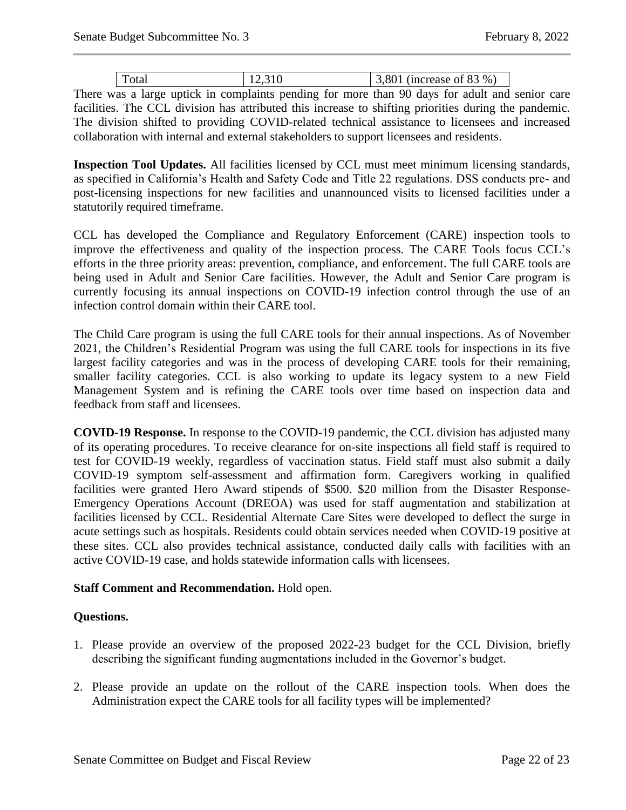| Total | 12,310 | 3,801 (increase of 83 %) |
|-------|--------|--------------------------|

There was a large uptick in complaints pending for more than 90 days for adult and senior care facilities. The CCL division has attributed this increase to shifting priorities during the pandemic. The division shifted to providing COVID-related technical assistance to licensees and increased collaboration with internal and external stakeholders to support licensees and residents.

**Inspection Tool Updates.** All facilities licensed by CCL must meet minimum licensing standards, as specified in California's Health and Safety Code and Title 22 regulations. DSS conducts pre- and post-licensing inspections for new facilities and unannounced visits to licensed facilities under a statutorily required timeframe.

CCL has developed the Compliance and Regulatory Enforcement (CARE) inspection tools to improve the effectiveness and quality of the inspection process. The CARE Tools focus CCL's efforts in the three priority areas: prevention, compliance, and enforcement. The full CARE tools are being used in Adult and Senior Care facilities. However, the Adult and Senior Care program is currently focusing its annual inspections on COVID-19 infection control through the use of an infection control domain within their CARE tool.

The Child Care program is using the full CARE tools for their annual inspections. As of November 2021, the Children's Residential Program was using the full CARE tools for inspections in its five largest facility categories and was in the process of developing CARE tools for their remaining, smaller facility categories. CCL is also working to update its legacy system to a new Field Management System and is refining the CARE tools over time based on inspection data and feedback from staff and licensees.

**COVID-19 Response.** In response to the COVID-19 pandemic, the CCL division has adjusted many of its operating procedures. To receive clearance for on-site inspections all field staff is required to test for COVID-19 weekly, regardless of vaccination status. Field staff must also submit a daily COVID-19 symptom self-assessment and affirmation form. Caregivers working in qualified facilities were granted Hero Award stipends of \$500. \$20 million from the Disaster Response-Emergency Operations Account (DREOA) was used for staff augmentation and stabilization at facilities licensed by CCL. Residential Alternate Care Sites were developed to deflect the surge in acute settings such as hospitals. Residents could obtain services needed when COVID-19 positive at these sites. CCL also provides technical assistance, conducted daily calls with facilities with an active COVID-19 case, and holds statewide information calls with licensees.

#### **Staff Comment and Recommendation.** Hold open.

#### **Questions.**

- 1. Please provide an overview of the proposed 2022-23 budget for the CCL Division, briefly describing the significant funding augmentations included in the Governor's budget.
- 2. Please provide an update on the rollout of the CARE inspection tools. When does the Administration expect the CARE tools for all facility types will be implemented?